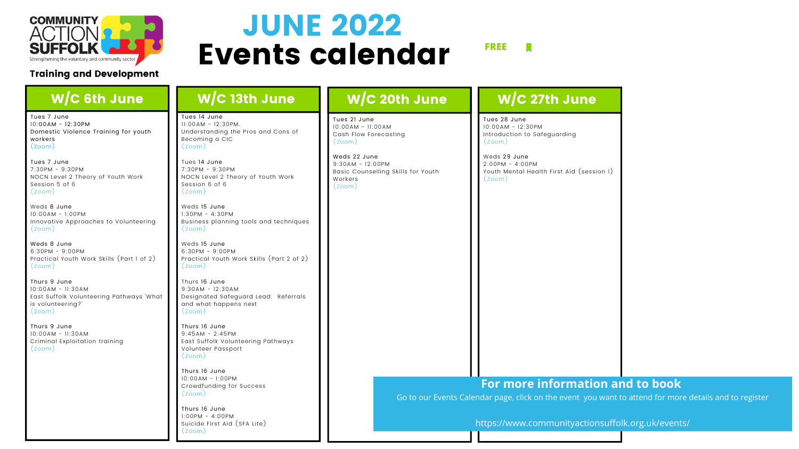

### **Training and Development**

visit:

email:

Go to our Events Calendar page, click on the event you want to attend for more details and to register

https://www.communityactionsuffolk.org.uk/events/

# Events calendar JUNE 2022

**FREE**

**FREE**

### **W/C** 13th June W/C 6th June  $\blacksquare$  W/C 13th June W/C 20th June  $\blacksquare$  W/C 27th June

Tues 7 June 10:00AM - 12:30PM Domestic Violence Training for youth workers (Zoom)

Tues 7 June 7:30PM - 9:30PM NOCN Level 2 Theory of Youth Work Session 5 of 6 (Zoom)

Weds 8 June 10:00AM - 1:00PM Innovative Approaches to Volunteering (Zoom)

Weds 8 June 6:30PM - 9:00PM Practical Youth Work Skills (Part 1 of 2) (Zoom)

Thurs 9 June 10:00AM - 11:30AM East Suffolk Volunteering Pathways 'What is volunteering?' (Zoom)

Thurs 9 June 10:00AM - 11:30AM Criminal Exploitation training (Zoom)

Tues 14 June 11:00AM - 12:30PM. Understanding the Pros and Cons of Becoming a CIC (Zoom)

> **NEW** Weds 29 June 2:00PM - 4:00PM Youth Mental Health First Aid (session 1)

### **[For more information a](https://www.communityactionsuffolk.org.uk/organisation-support/training-and-development/)nd to book**

Tues 14 June 7:30PM - 9:30PM NOCN Level 2 Theory of Youth Work Session 6 of 6 (Zoom)

Weds 15 June 1:30PM - 4:30PM Business planning tools and techniques (Zoom)

Weds 15 June 6:30PM - 9:00PM Practical Youth Work Skills (Part 2 of 2) (Zoom)

Thurs 16 June 9:30AM - 12:30AM Designated Safeguard Lead: Referrals and what happens next (Zoom)

Thurs 16 June  $9:45AM - 2:45PM$ East Suffolk Volunteering Pathways Volunteer Passport (Zoom)

Thurs 16 June 10:00AM - 1:00PM Crowdfunding for Success (Zoom)

Thurs 16 June 1:00PM - 4:00PM Suicide First Aid (SFA Lite) (Zoom)

Tues 21 June 10:00AM - 11:00AM Cash Flow Forecasting (Zoom)

Weds 22 June 9:30AM - 12:00PM Basic Counselling Skills for Youth Workers (Zoom)

Tues 28 June 10:00AM - 12:30PM Introduction to Safeguarding (Zoom)

 $(700m)$